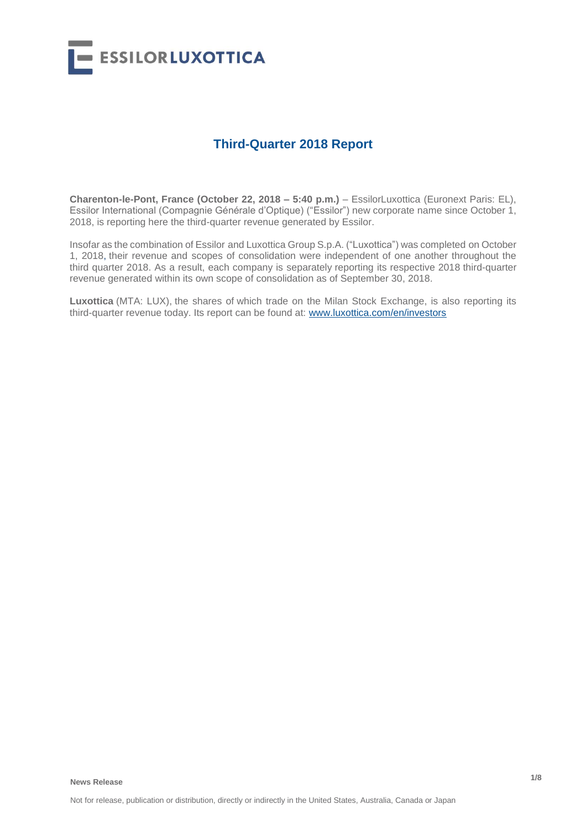

## **Third-Quarter 2018 Report**

**Charenton-le-Pont, France (October 22, 2018 – 5:40 p.m.)** – EssilorLuxottica (Euronext Paris: EL), Essilor International (Compagnie Générale d'Optique) ("Essilor") new corporate name since October 1, 2018, is reporting here the third-quarter revenue generated by Essilor.

Insofar as the combination of Essilor and Luxottica Group S.p.A. ("Luxottica") was completed on October 1, 2018, their revenue and scopes of consolidation were independent of one another throughout the third quarter 2018. As a result, each company is separately reporting its respective 2018 third-quarter revenue generated within its own scope of consolidation as of September 30, 2018.

**Luxottica** (MTA: LUX), the shares of which trade on the Milan Stock Exchange, is also reporting its third-quarter revenue today. Its report can be found at: [www.luxottica.com/en/investors](http://www.luxottica.com/en/investors)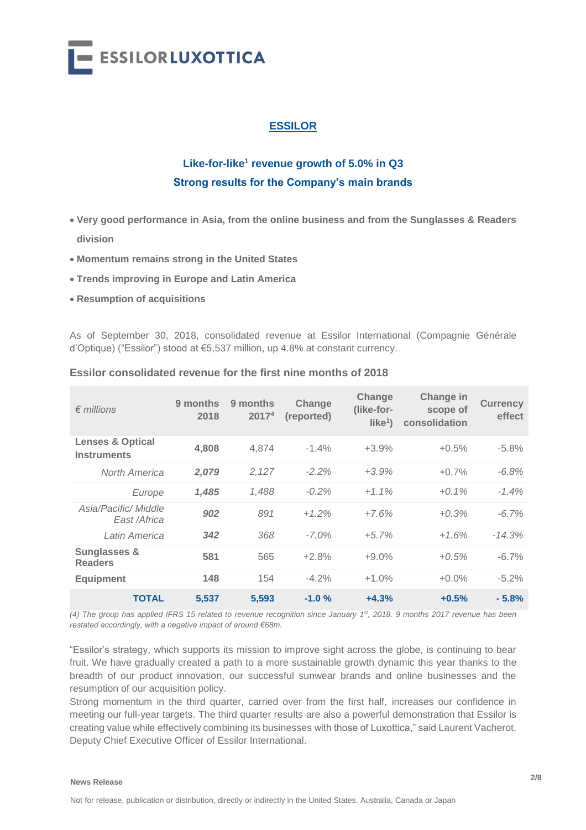

## **ESSILOR**

# **Like-for-like<sup>1</sup> revenue growth of 5.0% in Q3 Strong results for the Company's main brands**

- **Very good performance in Asia, from the online business and from the Sunglasses & Readers division**
- **Momentum remains strong in the United States**
- **Trends improving in Europe and Latin America**
- **Resumption of acquisitions**

As of September 30, 2018, consolidated revenue at Essilor International (Compagnie Générale d'Optique) ("Essilor") stood at €5,537 million, up 4.8% at constant currency.

| $\epsilon$ millions                               | 9 months<br>2018 | 9 months<br>2017 <sup>4</sup> | Change<br>(reported) | Change<br>(like-for-<br>like <sup>1</sup> | Change in<br>scope of<br>consolidation | <b>Currency</b><br>effect |
|---------------------------------------------------|------------------|-------------------------------|----------------------|-------------------------------------------|----------------------------------------|---------------------------|
| <b>Lenses &amp; Optical</b><br><b>Instruments</b> | 4,808            | 4.874                         | $-1.4%$              | $+3.9%$                                   | $+0.5%$                                | $-5.8%$                   |
| North America                                     | 2,079            | 2,127                         | $-2.2%$              | $+3.9%$                                   | $+0.7%$                                | $-6.8%$                   |
| Europe                                            | 1,485            | 1.488                         | $-0.2\%$             | $+1.1\%$                                  | $+0.1\%$                               | $-1.4%$                   |
| Asia/Pacific/ Middle<br>East /Africa              | 902              | 891                           | $+1.2%$              | $+7.6%$                                   | $+0.3%$                                | $-6.7\%$                  |
| Latin America                                     | 342              | 368                           | $-7.0\%$             | $+5.7%$                                   | $+1.6%$                                | $-14.3%$                  |
| <b>Sunglasses &amp;</b><br><b>Readers</b>         | 581              | 565                           | $+2.8%$              | $+9.0%$                                   | $+0.5%$                                | $-6.7\%$                  |
| <b>Equipment</b>                                  | 148              | 154                           | $-4.2%$              | $+1.0%$                                   | $+0.0\%$                               | $-5.2%$                   |
| <b>TOTAL</b>                                      | 5,537            | 5,593                         | $-1.0%$              | $+4.3%$                                   | $+0.5%$                                | $-5.8%$                   |

#### **Essilor consolidated revenue for the first nine months of 2018**

*(4) The group has applied IFRS 15 related to revenue recognition since January 1st, 2018. 9 months 2017 revenue has been restated accordingly, with a negative impact of around €68m.*

"Essilor's strategy, which supports its mission to improve sight across the globe, is continuing to bear fruit. We have gradually created a path to a more sustainable growth dynamic this year thanks to the breadth of our product innovation, our successful sunwear brands and online businesses and the resumption of our acquisition policy.

Strong momentum in the third quarter, carried over from the first half, increases our confidence in meeting our full-year targets. The third quarter results are also a powerful demonstration that Essilor is creating value while effectively combining its businesses with those of Luxottica," said Laurent Vacherot, Deputy Chief Executive Officer of Essilor International.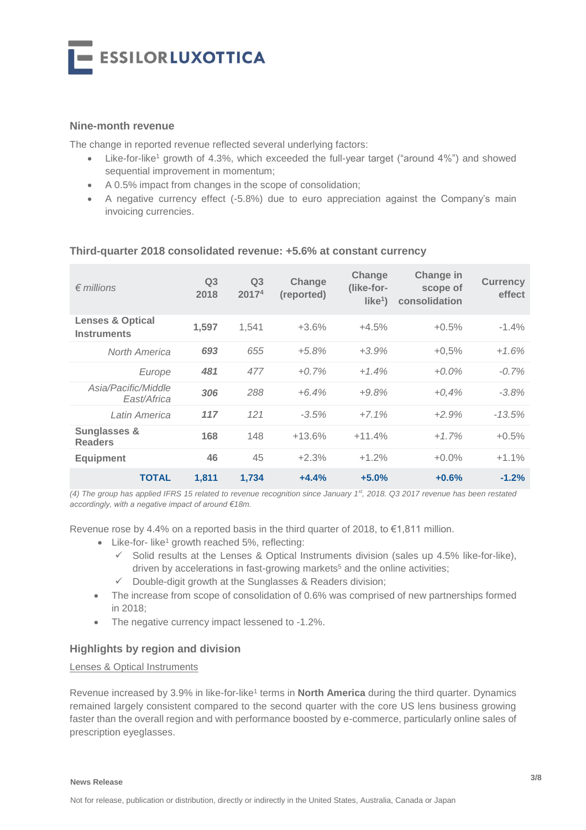

## **Nine-month revenue**

The change in reported revenue reflected several underlying factors:

- Like-for-like<sup>1</sup> growth of 4.3%, which exceeded the full-year target ("around 4%") and showed sequential improvement in momentum;
- A 0.5% impact from changes in the scope of consolidation;
- A negative currency effect (-5.8%) due to euro appreciation against the Company's main invoicing currencies.

| $\epsilon$ millions                               | Q <sub>3</sub><br>2018 | Q <sub>3</sub><br>20174 | Change<br>(reported) | Change<br>(like-for-<br>like <sup>1</sup> | Change in<br>scope of<br>consolidation | <b>Currency</b><br>effect |
|---------------------------------------------------|------------------------|-------------------------|----------------------|-------------------------------------------|----------------------------------------|---------------------------|
| <b>Lenses &amp; Optical</b><br><b>Instruments</b> | 1,597                  | 1,541                   | $+3.6%$              | $+4.5%$                                   | $+0.5%$                                | $-1.4%$                   |
| North America                                     | 693                    | 655                     | $+5.8%$              | $+3.9%$                                   | $+0,5%$                                | $+1.6%$                   |
| Europe                                            | 481                    | 477                     | $+0.7%$              | $+1.4%$                                   | $+0.0\%$                               | $-0.7%$                   |
| Asia/Pacific/Middle<br>East/Africa                | 306                    | 288                     | $+6.4%$              | $+9.8%$                                   | $+0.4%$                                | $-3.8%$                   |
| Latin America                                     | 117                    | 121                     | $-3.5%$              | $+7.1%$                                   | $+2.9%$                                | $-13.5%$                  |
| <b>Sunglasses &amp;</b><br><b>Readers</b>         | 168                    | 148                     | $+13.6%$             | $+11.4%$                                  | $+1.7%$                                | $+0.5%$                   |
| <b>Equipment</b>                                  | 46                     | 45                      | $+2.3%$              | $+1.2%$                                   | $+0.0%$                                | $+1.1%$                   |
| <b>TOTAL</b>                                      | 1,811                  | 1,734                   | $+4.4%$              | $+5.0%$                                   | $+0.6%$                                | $-1.2%$                   |

#### **Third-quarter 2018 consolidated revenue: +5.6% at constant currency**

*(4) The group has applied IFRS 15 related to revenue recognition since January 1st, 2018. Q3 2017 revenue has been restated accordingly, with a negative impact of around €18m.*

Revenue rose by 4.4% on a reported basis in the third quarter of 2018, to  $\epsilon$ 1,811 million.

- $\bullet$  Like-for- like<sup>1</sup> growth reached 5%, reflecting:
	- $\checkmark$  Solid results at the Lenses & Optical Instruments division (sales up 4.5% like-for-like), driven by accelerations in fast-growing markets<sup>5</sup> and the online activities;
	- $\checkmark$  Double-digit growth at the Sunglasses & Readers division;
- The increase from scope of consolidation of 0.6% was comprised of new partnerships formed in 2018;
- The negative currency impact lessened to -1.2%.

#### **Highlights by region and division**

#### Lenses & Optical Instruments

Revenue increased by 3.9% in like-for-like<sup>1</sup> terms in **North America** during the third quarter. Dynamics remained largely consistent compared to the second quarter with the core US lens business growing faster than the overall region and with performance boosted by e-commerce, particularly online sales of prescription eyeglasses.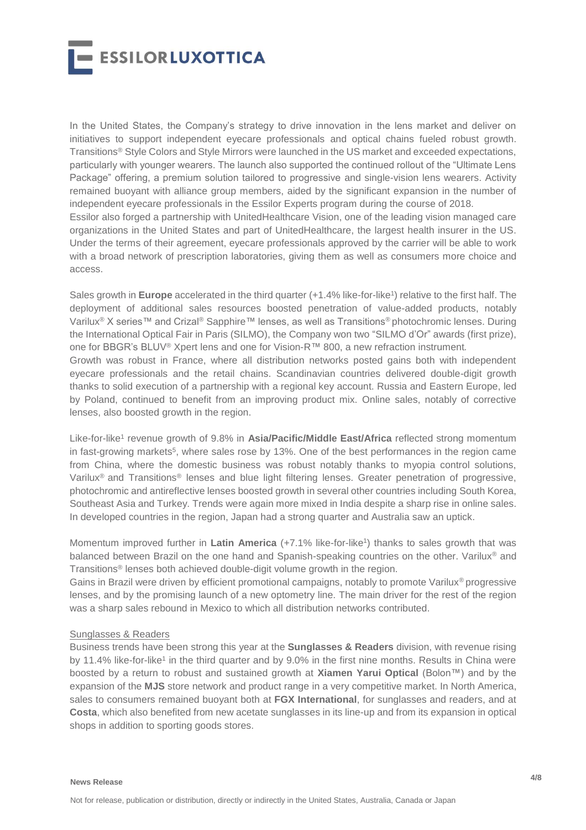

In the United States, the Company's strategy to drive innovation in the lens market and deliver on initiatives to support independent eyecare professionals and optical chains fueled robust growth. Transitions® Style Colors and Style Mirrors were launched in the US market and exceeded expectations, particularly with younger wearers. The launch also supported the continued rollout of the "Ultimate Lens Package" offering, a premium solution tailored to progressive and single-vision lens wearers. Activity remained buoyant with alliance group members, aided by the significant expansion in the number of independent eyecare professionals in the Essilor Experts program during the course of 2018. Essilor also forged a partnership with UnitedHealthcare Vision, one of the leading vision managed care organizations in the United States and part of UnitedHealthcare, the largest health insurer in the US. Under the terms of their agreement, eyecare professionals approved by the carrier will be able to work with a broad network of prescription laboratories, giving them as well as consumers more choice and access.

Sales growth in **Europe** accelerated in the third quarter (+1.4% like-for-like<sup>1</sup>) relative to the first half. The deployment of additional sales resources boosted penetration of value-added products, notably Varilux® X series™ and Crizal® Sapphire™ lenses, as well as Transitions® photochromic lenses. During the International Optical Fair in Paris (SILMO), the Company won two "SILMO d'Or" awards (first prize), one for BBGR's BLUV® Xpert lens and one for Vision-R™ 800, a new refraction instrument*.*

Growth was robust in France, where all distribution networks posted gains both with independent eyecare professionals and the retail chains. Scandinavian countries delivered double-digit growth thanks to solid execution of a partnership with a regional key account. Russia and Eastern Europe, led by Poland, continued to benefit from an improving product mix. Online sales, notably of corrective lenses, also boosted growth in the region.

Like-for-like<sup>1</sup> revenue growth of 9.8% in Asia/Pacific/Middle East/Africa reflected strong momentum in fast-growing markets<sup>5</sup>, where sales rose by 13%. One of the best performances in the region came from China, where the domestic business was robust notably thanks to myopia control solutions, Varilux® and Transitions® lenses and blue light filtering lenses. Greater penetration of progressive, photochromic and antireflective lenses boosted growth in several other countries including South Korea, Southeast Asia and Turkey. Trends were again more mixed in India despite a sharp rise in online sales. In developed countries in the region, Japan had a strong quarter and Australia saw an uptick.

Momentum improved further in Latin America (+7.1% like-for-like<sup>1</sup>) thanks to sales growth that was balanced between Brazil on the one hand and Spanish-speaking countries on the other. Varilux<sup>®</sup> and Transitions® lenses both achieved double-digit volume growth in the region.

Gains in Brazil were driven by efficient promotional campaigns, notably to promote Varilux® progressive lenses, and by the promising launch of a new optometry line. The main driver for the rest of the region was a sharp sales rebound in Mexico to which all distribution networks contributed.

#### Sunglasses & Readers

Business trends have been strong this year at the **Sunglasses & Readers** division, with revenue rising by 11.4% like-for-like<sup>1</sup> in the third quarter and by 9.0% in the first nine months. Results in China were boosted by a return to robust and sustained growth at **Xiamen Yarui Optical** (Bolon™) and by the expansion of the **MJS** store network and product range in a very competitive market. In North America, sales to consumers remained buoyant both at **FGX International**, for sunglasses and readers, and at **Costa**, which also benefited from new acetate sunglasses in its line-up and from its expansion in optical shops in addition to sporting goods stores.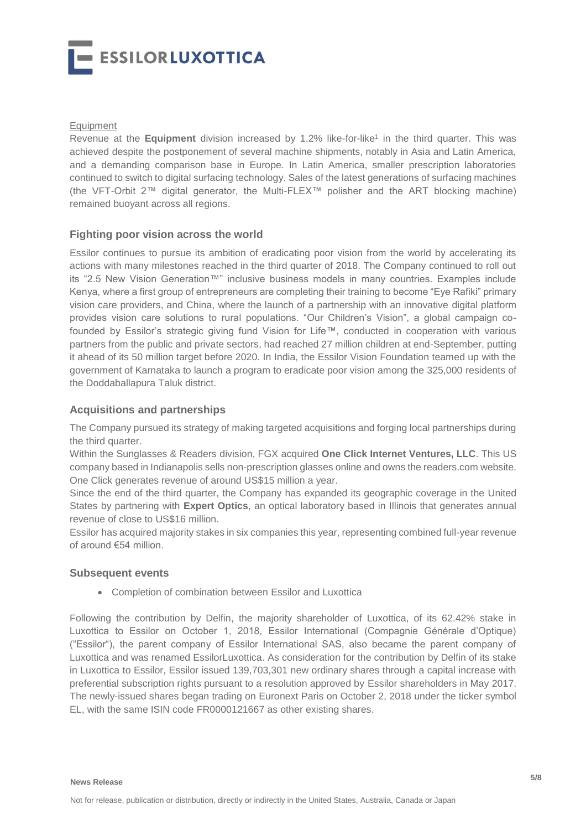- ESSILORLUXOTTICA

#### **Equipment**

Revenue at the Equipment division increased by 1.2% like-for-like<sup>1</sup> in the third quarter. This was achieved despite the postponement of several machine shipments, notably in Asia and Latin America, and a demanding comparison base in Europe. In Latin America, smaller prescription laboratories continued to switch to digital surfacing technology. Sales of the latest generations of surfacing machines (the VFT-Orbit 2™ digital generator, the Multi-FLEX™ polisher and the ART blocking machine) remained buoyant across all regions.

#### **Fighting poor vision across the world**

Essilor continues to pursue its ambition of eradicating poor vision from the world by accelerating its actions with many milestones reached in the third quarter of 2018. The Company continued to roll out its "2.5 New Vision Generation™" inclusive business models in many countries. Examples include Kenya, where a first group of entrepreneurs are completing their training to become "Eye Rafiki" primary vision care providers, and China, where the launch of a partnership with an innovative digital platform provides vision care solutions to rural populations. "Our Children's Vision", a global campaign cofounded by Essilor's strategic giving fund Vision for Life™, conducted in cooperation with various partners from the public and private sectors, had reached 27 million children at end-September, putting it ahead of its 50 million target before 2020. In India, the Essilor Vision Foundation teamed up with the government of Karnataka to launch a program to eradicate poor vision among the 325,000 residents of the Doddaballapura Taluk district.

## **Acquisitions and partnerships**

The Company pursued its strategy of making targeted acquisitions and forging local partnerships during the third quarter.

Within the Sunglasses & Readers division, FGX acquired **One Click Internet Ventures, LLC**. This US company based in Indianapolis sells non-prescription glasses online and owns the readers.com website. One Click generates revenue of around US\$15 million a year.

Since the end of the third quarter, the Company has expanded its geographic coverage in the United States by partnering with **Expert Optics**, an optical laboratory based in Illinois that generates annual revenue of close to US\$16 million.

Essilor has acquired majority stakes in six companies this year, representing combined full-year revenue of around €54 million.

#### **Subsequent events**

Completion of combination between Essilor and Luxottica

Following the contribution by Delfin, the majority shareholder of Luxottica, of its 62.42% stake in Luxottica to Essilor on October 1, 2018, Essilor International (Compagnie Générale d'Optique) ("Essilor"), the parent company of Essilor International SAS, also became the parent company of Luxottica and was renamed EssilorLuxottica. As consideration for the contribution by Delfin of its stake in Luxottica to Essilor, Essilor issued 139,703,301 new ordinary shares through a capital increase with preferential subscription rights pursuant to a resolution approved by Essilor shareholders in May 2017. The newly-issued shares began trading on Euronext Paris on October 2, 2018 under the ticker symbol EL, with the same ISIN code FR0000121667 as other existing shares.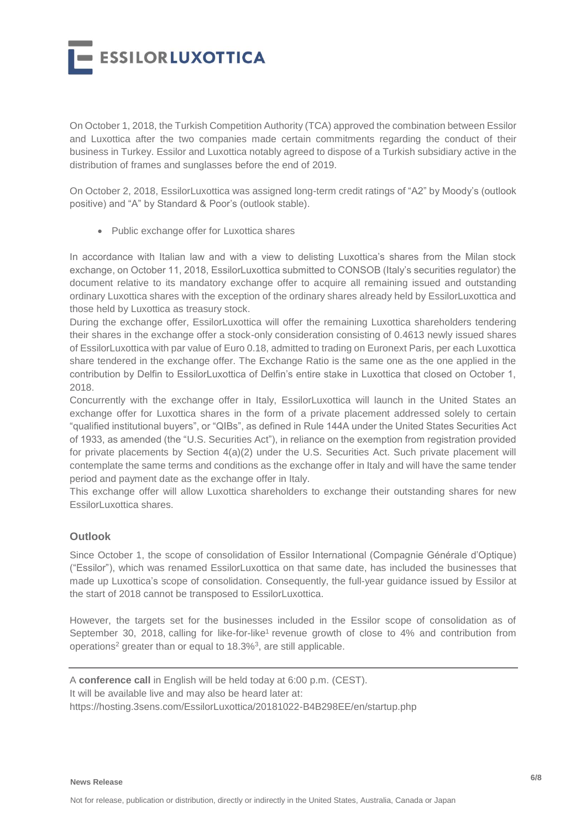**ESSILORLUXOTTICA** 

On October 1, 2018, the Turkish Competition Authority (TCA) approved the combination between Essilor and Luxottica after the two companies made certain commitments regarding the conduct of their business in Turkey. Essilor and Luxottica notably agreed to dispose of a Turkish subsidiary active in the distribution of frames and sunglasses before the end of 2019.

On October 2, 2018, EssilorLuxottica was assigned long-term credit ratings of "A2" by Moody's (outlook positive) and "A" by Standard & Poor's (outlook stable).

• Public exchange offer for Luxottica shares

In accordance with Italian law and with a view to delisting Luxottica's shares from the Milan stock exchange, on October 11, 2018, EssilorLuxottica submitted to CONSOB (Italy's securities regulator) the document relative to its mandatory exchange offer to acquire all remaining issued and outstanding ordinary Luxottica shares with the exception of the ordinary shares already held by EssilorLuxottica and those held by Luxottica as treasury stock.

During the exchange offer, EssilorLuxottica will offer the remaining Luxottica shareholders tendering their shares in the exchange offer a stock-only consideration consisting of 0.4613 newly issued shares of EssilorLuxottica with par value of Euro 0.18, admitted to trading on Euronext Paris, per each Luxottica share tendered in the exchange offer. The Exchange Ratio is the same one as the one applied in the contribution by Delfin to EssilorLuxottica of Delfin's entire stake in Luxottica that closed on October 1, 2018.

Concurrently with the exchange offer in Italy, EssilorLuxottica will launch in the United States an exchange offer for Luxottica shares in the form of a private placement addressed solely to certain "qualified institutional buyers", or "QIBs", as defined in Rule 144A under the United States Securities Act of 1933, as amended (the "U.S. Securities Act"), in reliance on the exemption from registration provided for private placements by Section 4(a)(2) under the U.S. Securities Act. Such private placement will contemplate the same terms and conditions as the exchange offer in Italy and will have the same tender period and payment date as the exchange offer in Italy.

This exchange offer will allow Luxottica shareholders to exchange their outstanding shares for new EssilorLuxottica shares

## **Outlook**

Since October 1, the scope of consolidation of Essilor International (Compagnie Générale d'Optique) ("Essilor"), which was renamed EssilorLuxottica on that same date, has included the businesses that made up Luxottica's scope of consolidation. Consequently, the full-year guidance issued by Essilor at the start of 2018 cannot be transposed to EssilorLuxottica.

However, the targets set for the businesses included in the Essilor scope of consolidation as of September 30, 2018, calling for like-for-like<sup>1</sup> revenue growth of close to 4% and contribution from operations<sup>2</sup> greater than or equal to 18.3%<sup>3</sup>, are still applicable.

A **conference call** in English will be held today at 6:00 p.m. (CEST). It will be available live and may also be heard later at: https://hosting.3sens.com/EssilorLuxottica/20181022-B4B298EE/en/startup.php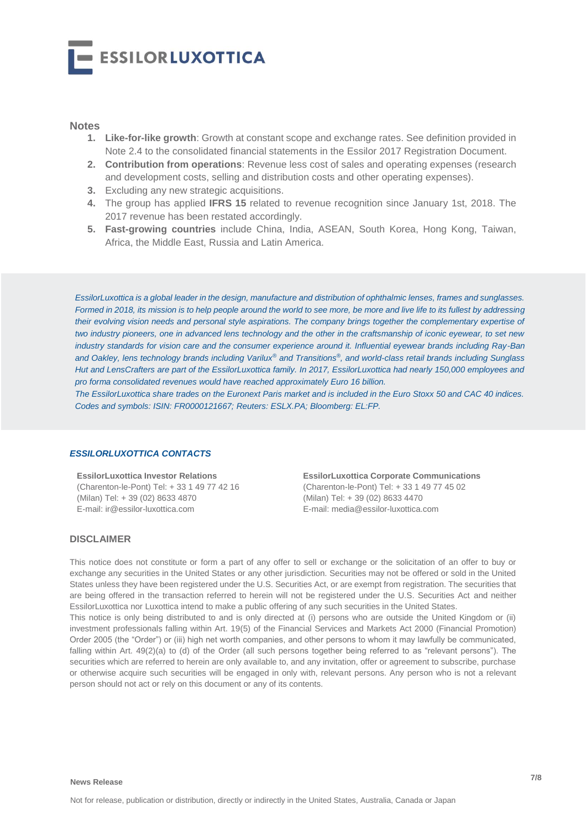

#### **Notes**

- **1. Like-for-like growth**: Growth at constant scope and exchange rates. See definition provided in Note 2.4 to the consolidated financial statements in the Essilor 2017 Registration Document.
- **2. Contribution from operations**: Revenue less cost of sales and operating expenses (research and development costs, selling and distribution costs and other operating expenses).
- **3.** Excluding any new strategic acquisitions.
- **4.** The group has applied **IFRS 15** related to revenue recognition since January 1st, 2018. The 2017 revenue has been restated accordingly.
- **5. Fast-growing countries** include China, India, ASEAN, South Korea, Hong Kong, Taiwan, Africa, the Middle East, Russia and Latin America.

*EssilorLuxottica is a global leader in the design, manufacture and distribution of ophthalmic lenses, frames and sunglasses. Formed in 2018, its mission is to help people around the world to see more, be more and live life to its fullest by addressing their evolving vision needs and personal style aspirations. The company brings together the complementary expertise of two industry pioneers, one in advanced lens technology and the other in the craftsmanship of iconic eyewear, to set new industry standards for vision care and the consumer experience around it. Influential eyewear brands including Ray-Ban and Oakley, lens technology brands including Varilux® and Transitions®, and world-class retail brands including Sunglass Hut and LensCrafters are part of the EssilorLuxottica family. In 2017, EssilorLuxottica had nearly 150,000 employees and pro forma consolidated revenues would have reached approximately Euro 16 billion.* 

*The EssilorLuxottica share trades on the Euronext Paris market and is included in the Euro Stoxx 50 and CAC 40 indices. Codes and symbols: ISIN: FR0000121667; Reuters: ESLX.PA; Bloomberg: EL:FP.*

#### *ESSILORLUXOTTICA CONTACTS*

**EssilorLuxottica Investor Relations** (Charenton-le-Pont) Tel: + 33 1 49 77 42 16 (Milan) Tel: + 39 (02) 8633 4870 E-mail: ir@essilor-luxottica.com

**EssilorLuxottica Corporate Communications** (Charenton-le-Pont) Tel: + 33 1 49 77 45 02 (Milan) Tel: + 39 (02) 8633 4470 E-mail: media@essilor-luxottica.com

#### **DISCLAIMER**

This notice does not constitute or form a part of any offer to sell or exchange or the solicitation of an offer to buy or exchange any securities in the United States or any other jurisdiction. Securities may not be offered or sold in the United States unless they have been registered under the U.S. Securities Act, or are exempt from registration. The securities that are being offered in the transaction referred to herein will not be registered under the U.S. Securities Act and neither EssilorLuxottica nor Luxottica intend to make a public offering of any such securities in the United States.

This notice is only being distributed to and is only directed at (i) persons who are outside the United Kingdom or (ii) investment professionals falling within Art. 19(5) of the Financial Services and Markets Act 2000 (Financial Promotion) Order 2005 (the "Order") or (iii) high net worth companies, and other persons to whom it may lawfully be communicated, falling within Art. 49(2)(a) to (d) of the Order (all such persons together being referred to as "relevant persons"). The securities which are referred to herein are only available to, and any invitation, offer or agreement to subscribe, purchase or otherwise acquire such securities will be engaged in only with, relevant persons. Any person who is not a relevant person should not act or rely on this document or any of its contents.